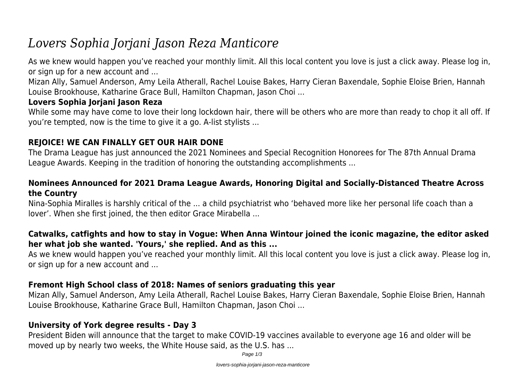# *Lovers Sophia Jorjani Jason Reza Manticore*

As we knew would happen you've reached your monthly limit. All this local content you love is just a click away. Please log in, or sign up for a new account and ...

Mizan Ally, Samuel Anderson, Amy Leila Atherall, Rachel Louise Bakes, Harry Cieran Baxendale, Sophie Eloise Brien, Hannah Louise Brookhouse, Katharine Grace Bull, Hamilton Chapman, Jason Choi ...

### **Lovers Sophia Jorjani Jason Reza**

While some may have come to love their long lockdown hair, there will be others who are more than ready to chop it all off. If you're tempted, now is the time to give it a go. A-list stylists ...

# **REJOICE! WE CAN FINALLY GET OUR HAIR DONE**

The Drama League has just announced the 2021 Nominees and Special Recognition Honorees for The 87th Annual Drama League Awards. Keeping in the tradition of honoring the outstanding accomplishments ...

### **Nominees Announced for 2021 Drama League Awards, Honoring Digital and Socially-Distanced Theatre Across the Country**

Nina-Sophia Miralles is harshly critical of the ... a child psychiatrist who 'behaved more like her personal life coach than a lover'. When she first joined, the then editor Grace Mirabella ...

### **Catwalks, catfights and how to stay in Vogue: When Anna Wintour joined the iconic magazine, the editor asked her what job she wanted. 'Yours,' she replied. And as this ...**

As we knew would happen you've reached your monthly limit. All this local content you love is just a click away. Please log in, or sign up for a new account and ...

# **Fremont High School class of 2018: Names of seniors graduating this year**

Mizan Ally, Samuel Anderson, Amy Leila Atherall, Rachel Louise Bakes, Harry Cieran Baxendale, Sophie Eloise Brien, Hannah Louise Brookhouse, Katharine Grace Bull, Hamilton Chapman, Jason Choi ...

# **University of York degree results - Day 3**

President Biden will announce that the target to make COVID-19 vaccines available to everyone age 16 and older will be moved up by nearly two weeks, the White House said, as the U.S. has ...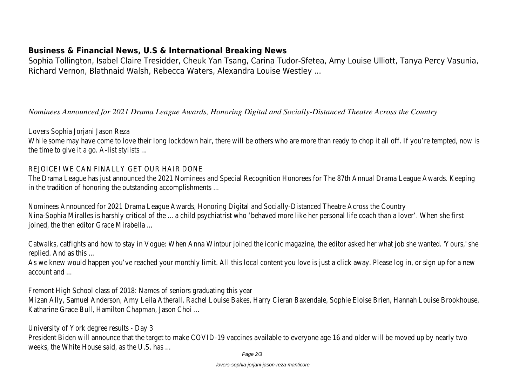#### **Business & Financial News, U.S & International Breaking News**

Sophia Tollington, Isabel Claire Tresidder, Cheuk Yan Tsang, Carina Tudor-Sfetea, Amy Louise Ulliott, Tanya Percy Vasunia, Richard Vernon, Blathnaid Walsh, Rebecca Waters, Alexandra Louise Westley ...

*Nominees Announced for 2021 Drama League Awards, Honoring Digital and Socially-Distanced Theatre Across the Country*

#### Lovers Sophia Joriani Jason Reza

While some may have come to love their long lockdown hair, there will be others who are more than ready to chop it all off the time to give it a go. A-list stylists ...

#### REJOICE! WE CAN FINALLY GET OUR HAIR DONE

The Drama League has just announced the 2021 Nominees and Special Recognition Honorees for The 87th Annual Drama Lea in the tradition of honoring the outstanding accomplishments ...

Nominees Announced for 2021 Drama League Awards, Honoring Digital and Socially-Distanced Theatre Across the Country Nina-Sophia Miralles is harshly critical of the ... a child psychiatrist who 'behaved more like her personal life coach than a lov joined, the then editor Grace Mirabella ...

Catwalks, catfights and how to stay in Vogue: When Anna Wintour joined the iconic magazine, the editor asked her what job replied. And as this ...

As we knew would happen you've reached your monthly limit. All this local content you love is just a click away. Please log in account and ...

Fremont High School class of 2018: Names of seniors graduating this year

Mizan Ally, Samuel Anderson, Amy Leila Atherall, Rachel Louise Bakes, Harry Cieran Baxendale, Sophie Eloise Brien, Hannah Lou Katharine Grace Bull, Hamilton Chapman, Jason Choi ...

University of York degree results - Day 3

President Biden will announce that the target to make COVID-19 vaccines available to everyone age 16 and older will be move weeks, the White House said, as the U.S. has ...